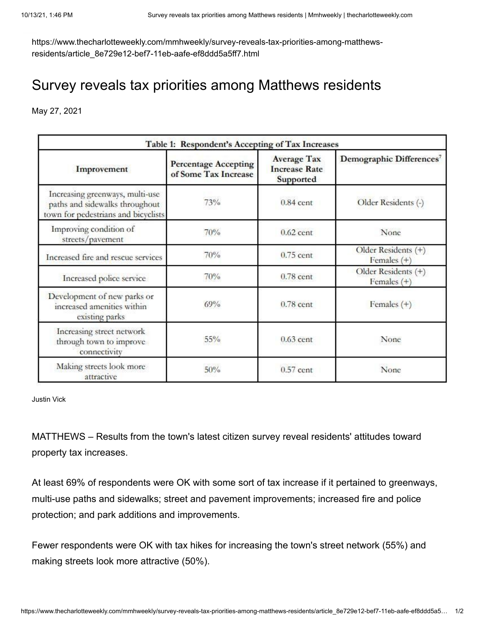https://www.thecharlotteweekly.com/mmhweekly/survey-reveals-tax-priorities-among-matthewsresidents/article\_8e729e12-bef7-11eb-aafe-ef8ddd5a5ff7.html

## Survey reveals tax priorities among Matthews residents

May 27, 2021

| Table 1: Respondent's Accepting of Tax Increases                                                         |                                                     |                                                         |                                      |
|----------------------------------------------------------------------------------------------------------|-----------------------------------------------------|---------------------------------------------------------|--------------------------------------|
| Improvement                                                                                              | <b>Percentage Accepting</b><br>of Some Tax Increase | <b>Average Tax</b><br><b>Increase Rate</b><br>Supported | Demographic Differences <sup>7</sup> |
| Increasing greenways, multi-use<br>paths and sidewalks throughout<br>town for pedestrians and bicyclists | 73%                                                 | $0.84$ cent                                             | Older Residents (-)                  |
| Improving condition of<br>streets/pavement                                                               | 70%                                                 | $0.62$ cent                                             | None                                 |
| Increased fire and rescue services                                                                       | 70%                                                 | $0.75$ cent                                             | Older Residents (+)<br>Females $(+)$ |
| Increased police service                                                                                 | 70%                                                 | $0.78$ cent                                             | Older Residents (+)<br>Females $(+)$ |
| Development of new parks or<br>increased amenities within<br>existing parks                              | 69%                                                 | $0.78$ cent                                             | Females $(+)$                        |
| Increasing street network<br>through town to improve<br>connectivity                                     | $55\%$                                              | $0.63$ cent                                             | None                                 |
| Making streets look more<br>attractive                                                                   | 50%                                                 | $0.57$ cent                                             | None                                 |

Justin Vick

MATTHEWS – Results from the town's latest citizen survey reveal residents' attitudes toward property tax increases.

At least 69% of respondents were OK with some sort of tax increase if it pertained to greenways, multi-use paths and sidewalks; street and pavement improvements; increased fire and police protection; and park additions and improvements.

Fewer respondents were OK with tax hikes for increasing the town's street network (55%) and making streets look more attractive (50%).